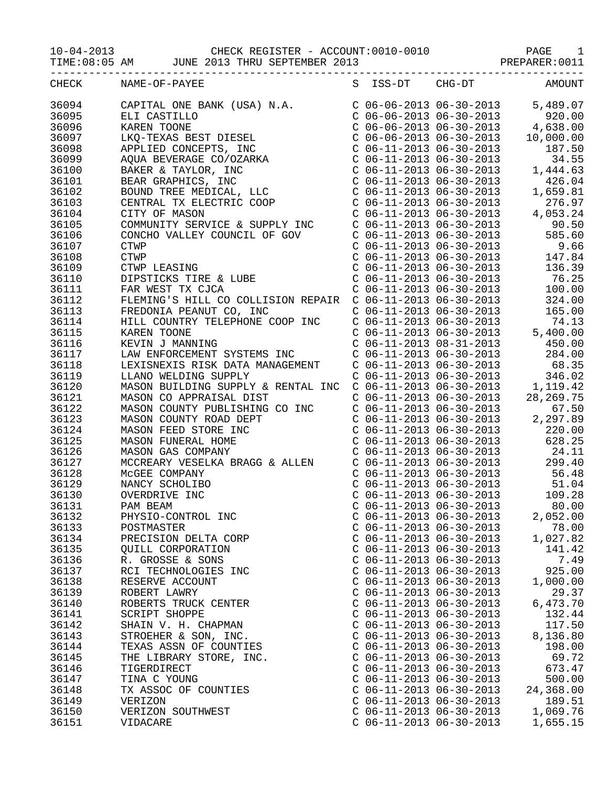| CHECK | NAME-OF-PAYEE<br>$\begin{tabular}{l c c c c c} \multicolumn{4}{l}{\textbf{NAME}-0$\mbox{-}F$-F$-0$\mbox{-}}&\multicolumn{4}{l}{\textbf{C}}&\multicolumn{4}{l}{\textbf{C}}&\multicolumn{4}{l}{\textbf{C}}&\multicolumn{4}{l}{\textbf{C}}&\multicolumn{4}{l}{\textbf{C}}&\multicolumn{4}{l}{\textbf{C}}&\multicolumn{4}{l}{\textbf{C}}&\multicolumn{4}{l}{\textbf{C}}&\multicolumn{4}{l}{\textbf{C}}&\multicolumn{4}{l}{\textbf{C}}&\multicolumn{4}{$ |                           | S ISS-DT CHG-DT AMOUNT          |           |
|-------|-----------------------------------------------------------------------------------------------------------------------------------------------------------------------------------------------------------------------------------------------------------------------------------------------------------------------------------------------------------------------------------------------------------------------------------------------------|---------------------------|---------------------------------|-----------|
| 36094 |                                                                                                                                                                                                                                                                                                                                                                                                                                                     |                           |                                 |           |
| 36095 |                                                                                                                                                                                                                                                                                                                                                                                                                                                     |                           |                                 |           |
| 36096 |                                                                                                                                                                                                                                                                                                                                                                                                                                                     |                           |                                 |           |
| 36097 |                                                                                                                                                                                                                                                                                                                                                                                                                                                     |                           |                                 |           |
|       |                                                                                                                                                                                                                                                                                                                                                                                                                                                     |                           |                                 |           |
| 36098 |                                                                                                                                                                                                                                                                                                                                                                                                                                                     |                           |                                 |           |
| 36099 |                                                                                                                                                                                                                                                                                                                                                                                                                                                     |                           |                                 |           |
| 36100 |                                                                                                                                                                                                                                                                                                                                                                                                                                                     |                           |                                 |           |
| 36101 |                                                                                                                                                                                                                                                                                                                                                                                                                                                     |                           |                                 |           |
| 36102 |                                                                                                                                                                                                                                                                                                                                                                                                                                                     |                           |                                 |           |
| 36103 |                                                                                                                                                                                                                                                                                                                                                                                                                                                     |                           |                                 |           |
| 36104 |                                                                                                                                                                                                                                                                                                                                                                                                                                                     |                           |                                 |           |
| 36105 |                                                                                                                                                                                                                                                                                                                                                                                                                                                     |                           |                                 |           |
| 36106 |                                                                                                                                                                                                                                                                                                                                                                                                                                                     |                           |                                 |           |
| 36107 |                                                                                                                                                                                                                                                                                                                                                                                                                                                     |                           |                                 |           |
| 36108 |                                                                                                                                                                                                                                                                                                                                                                                                                                                     |                           |                                 |           |
| 36109 |                                                                                                                                                                                                                                                                                                                                                                                                                                                     |                           |                                 |           |
| 36110 |                                                                                                                                                                                                                                                                                                                                                                                                                                                     |                           |                                 |           |
| 36111 |                                                                                                                                                                                                                                                                                                                                                                                                                                                     |                           |                                 |           |
| 36112 |                                                                                                                                                                                                                                                                                                                                                                                                                                                     |                           |                                 |           |
| 36113 |                                                                                                                                                                                                                                                                                                                                                                                                                                                     |                           |                                 |           |
| 36114 |                                                                                                                                                                                                                                                                                                                                                                                                                                                     |                           |                                 |           |
| 36115 |                                                                                                                                                                                                                                                                                                                                                                                                                                                     |                           |                                 |           |
| 36116 |                                                                                                                                                                                                                                                                                                                                                                                                                                                     |                           |                                 |           |
| 36117 |                                                                                                                                                                                                                                                                                                                                                                                                                                                     |                           |                                 |           |
| 36118 |                                                                                                                                                                                                                                                                                                                                                                                                                                                     |                           |                                 |           |
| 36119 |                                                                                                                                                                                                                                                                                                                                                                                                                                                     |                           |                                 |           |
| 36120 |                                                                                                                                                                                                                                                                                                                                                                                                                                                     |                           |                                 |           |
| 36121 | MASON CO APPRAISAL DIST<br>MASON COUNTY PUBLISHING CO INC<br>MASON COUNTY ROAD DEPT<br>MASON COUNTY ROAD DEPT<br>MASON FEED STORE INC<br>MASON FEED STORE INC<br>MASON FUNERAL HOME<br>MASON FUNERAL HOME<br>MASON GAS COMPANY<br>MASON GAS COMP                                                                                                                                                                                                    |                           |                                 |           |
| 36122 |                                                                                                                                                                                                                                                                                                                                                                                                                                                     |                           |                                 |           |
| 36123 |                                                                                                                                                                                                                                                                                                                                                                                                                                                     |                           |                                 |           |
| 36124 |                                                                                                                                                                                                                                                                                                                                                                                                                                                     |                           |                                 |           |
| 36125 |                                                                                                                                                                                                                                                                                                                                                                                                                                                     |                           |                                 |           |
| 36126 |                                                                                                                                                                                                                                                                                                                                                                                                                                                     |                           |                                 |           |
| 36127 | MASON GAS COMPANY<br>MASON GAS COMPANY<br>MCCREARY VESELKA BRAGG & ALLEN<br>MCCREARY VESELKA BRAGG & ALLEN<br>MCCREARY VESELKA BRAGG & ALLEN<br>C 06-11-2013 06-30-2013<br>C 06-11-2013 06-30-2013<br>56.48<br>NANCY SCHOLIBO<br>OVERDRIVE INC<br>                                                                                                                                                                                                  |                           |                                 |           |
| 36128 |                                                                                                                                                                                                                                                                                                                                                                                                                                                     |                           |                                 |           |
| 36129 |                                                                                                                                                                                                                                                                                                                                                                                                                                                     |                           |                                 |           |
| 36130 |                                                                                                                                                                                                                                                                                                                                                                                                                                                     |                           |                                 |           |
| 36131 |                                                                                                                                                                                                                                                                                                                                                                                                                                                     |                           | $C$ 06-11-2013 06-30-2013 80.00 |           |
|       | PAM BEAM                                                                                                                                                                                                                                                                                                                                                                                                                                            |                           |                                 |           |
| 36132 | PHYSIO-CONTROL INC                                                                                                                                                                                                                                                                                                                                                                                                                                  |                           | $C$ 06-11-2013 06-30-2013       | 2,052.00  |
| 36133 | POSTMASTER                                                                                                                                                                                                                                                                                                                                                                                                                                          | $C$ 06-11-2013 06-30-2013 |                                 | 78.00     |
| 36134 | PRECISION DELTA CORP                                                                                                                                                                                                                                                                                                                                                                                                                                | $C$ 06-11-2013 06-30-2013 |                                 | 1,027.82  |
| 36135 | QUILL CORPORATION                                                                                                                                                                                                                                                                                                                                                                                                                                   | $C$ 06-11-2013 06-30-2013 |                                 | 141.42    |
| 36136 | R. GROSSE & SONS                                                                                                                                                                                                                                                                                                                                                                                                                                    | $C$ 06-11-2013 06-30-2013 |                                 | 7.49      |
| 36137 | RCI TECHNOLOGIES INC                                                                                                                                                                                                                                                                                                                                                                                                                                | $C$ 06-11-2013 06-30-2013 |                                 | 925.00    |
| 36138 | RESERVE ACCOUNT                                                                                                                                                                                                                                                                                                                                                                                                                                     | $C$ 06-11-2013 06-30-2013 |                                 | 1,000.00  |
| 36139 | ROBERT LAWRY                                                                                                                                                                                                                                                                                                                                                                                                                                        | $C$ 06-11-2013 06-30-2013 |                                 | 29.37     |
| 36140 | ROBERTS TRUCK CENTER                                                                                                                                                                                                                                                                                                                                                                                                                                | $C$ 06-11-2013 06-30-2013 |                                 | 6,473.70  |
| 36141 | SCRIPT SHOPPE                                                                                                                                                                                                                                                                                                                                                                                                                                       | $C$ 06-11-2013 06-30-2013 |                                 | 132.44    |
| 36142 | SHAIN V. H. CHAPMAN                                                                                                                                                                                                                                                                                                                                                                                                                                 | $C$ 06-11-2013 06-30-2013 |                                 | 117.50    |
| 36143 | STROEHER & SON, INC.                                                                                                                                                                                                                                                                                                                                                                                                                                | $C$ 06-11-2013 06-30-2013 |                                 | 8,136.80  |
| 36144 | TEXAS ASSN OF COUNTIES                                                                                                                                                                                                                                                                                                                                                                                                                              | $C$ 06-11-2013 06-30-2013 |                                 | 198.00    |
| 36145 | THE LIBRARY STORE, INC.                                                                                                                                                                                                                                                                                                                                                                                                                             | $C$ 06-11-2013 06-30-2013 |                                 | 69.72     |
| 36146 | TIGERDIRECT                                                                                                                                                                                                                                                                                                                                                                                                                                         | $C$ 06-11-2013 06-30-2013 |                                 | 673.47    |
| 36147 | TINA C YOUNG                                                                                                                                                                                                                                                                                                                                                                                                                                        | $C$ 06-11-2013 06-30-2013 |                                 | 500.00    |
| 36148 | TX ASSOC OF COUNTIES                                                                                                                                                                                                                                                                                                                                                                                                                                | $C$ 06-11-2013 06-30-2013 |                                 | 24,368.00 |
| 36149 | VERIZON                                                                                                                                                                                                                                                                                                                                                                                                                                             | $C$ 06-11-2013 06-30-2013 |                                 | 189.51    |
| 36150 | VERIZON SOUTHWEST                                                                                                                                                                                                                                                                                                                                                                                                                                   | $C$ 06-11-2013 06-30-2013 |                                 | 1,069.76  |
| 36151 | VIDACARE                                                                                                                                                                                                                                                                                                                                                                                                                                            | $C$ 06-11-2013 06-30-2013 |                                 | 1,655.15  |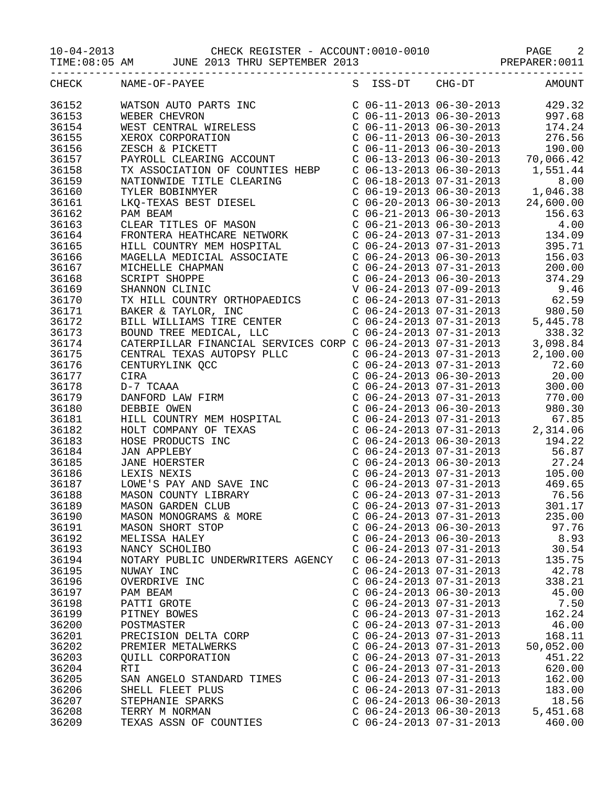|                | CHECK NAME-OF-PAYEE                                                                                                                                                                                                                                                |                                                        |                           | S ISS-DT CHG-DT AMOUNT |
|----------------|--------------------------------------------------------------------------------------------------------------------------------------------------------------------------------------------------------------------------------------------------------------------|--------------------------------------------------------|---------------------------|------------------------|
| 36152          |                                                                                                                                                                                                                                                                    |                                                        |                           |                        |
| 36153          |                                                                                                                                                                                                                                                                    |                                                        |                           |                        |
| 36154          |                                                                                                                                                                                                                                                                    |                                                        |                           |                        |
| 36155          |                                                                                                                                                                                                                                                                    |                                                        |                           |                        |
| 36156          |                                                                                                                                                                                                                                                                    |                                                        |                           |                        |
| 36157          |                                                                                                                                                                                                                                                                    |                                                        |                           |                        |
| 36158          |                                                                                                                                                                                                                                                                    |                                                        |                           |                        |
| 36159          |                                                                                                                                                                                                                                                                    |                                                        |                           |                        |
| 36160          |                                                                                                                                                                                                                                                                    |                                                        |                           |                        |
| 36161          |                                                                                                                                                                                                                                                                    |                                                        |                           |                        |
| 36162          |                                                                                                                                                                                                                                                                    |                                                        |                           |                        |
| 36163          |                                                                                                                                                                                                                                                                    |                                                        |                           |                        |
| 36164          |                                                                                                                                                                                                                                                                    |                                                        |                           |                        |
| 36165          |                                                                                                                                                                                                                                                                    |                                                        |                           |                        |
| 36166          |                                                                                                                                                                                                                                                                    |                                                        |                           |                        |
| 36167          |                                                                                                                                                                                                                                                                    |                                                        |                           |                        |
| 36168          |                                                                                                                                                                                                                                                                    |                                                        |                           |                        |
| 36169          |                                                                                                                                                                                                                                                                    |                                                        |                           |                        |
| 36170          |                                                                                                                                                                                                                                                                    |                                                        |                           |                        |
| 36171          |                                                                                                                                                                                                                                                                    |                                                        |                           |                        |
| 36172          |                                                                                                                                                                                                                                                                    |                                                        |                           |                        |
| 36173          |                                                                                                                                                                                                                                                                    |                                                        |                           |                        |
| 36174          |                                                                                                                                                                                                                                                                    |                                                        |                           |                        |
| 36175          |                                                                                                                                                                                                                                                                    |                                                        |                           |                        |
| 36176          |                                                                                                                                                                                                                                                                    |                                                        |                           |                        |
| 36177          |                                                                                                                                                                                                                                                                    |                                                        |                           |                        |
| 36178          |                                                                                                                                                                                                                                                                    |                                                        |                           |                        |
| 36179          | CATERPILLAR FINANCIAL SERVICES CORP<br>CENTRAL TEXAS AUTOPSY PLLC<br>CENTURYLINK QCC<br>CIRA<br>D-7 TCAAA<br>DANFORD LAW FIRM<br>DEBBIE OWEN<br>HILL COUNTRY MEM HOSPITAL<br>HOLI COMPANY OF TEXAS<br>HOSE PRODUCTS INC<br>JAN APPLEBY<br>JANE HOERSTER<br>LEXIS N |                                                        |                           |                        |
| 36180          |                                                                                                                                                                                                                                                                    |                                                        |                           |                        |
| 36181          |                                                                                                                                                                                                                                                                    |                                                        |                           |                        |
| 36182<br>36183 |                                                                                                                                                                                                                                                                    |                                                        |                           |                        |
| 36184          |                                                                                                                                                                                                                                                                    |                                                        |                           |                        |
| 36185          |                                                                                                                                                                                                                                                                    |                                                        |                           |                        |
| 36186          |                                                                                                                                                                                                                                                                    |                                                        |                           |                        |
| 36187          |                                                                                                                                                                                                                                                                    |                                                        |                           |                        |
| 36188          |                                                                                                                                                                                                                                                                    |                                                        |                           |                        |
| 36189          |                                                                                                                                                                                                                                                                    |                                                        |                           |                        |
| 36190          | MASON MONOGRAMS & MORE                                                                                                                                                                                                                                             |                                                        | $C$ 06-24-2013 07-31-2013 | 235.00                 |
| 36191          | MASON SHORT STOP                                                                                                                                                                                                                                                   | $C$ 06-24-2013 06-30-2013                              |                           | 97.76                  |
| 36192          | MELISSA HALEY                                                                                                                                                                                                                                                      | $C$ 06-24-2013 06-30-2013                              |                           | 8.93                   |
| 36193          | NANCY SCHOLIBO                                                                                                                                                                                                                                                     | $C$ 06-24-2013 07-31-2013                              |                           | 30.54                  |
| 36194          | NOTARY PUBLIC UNDERWRITERS AGENCY                                                                                                                                                                                                                                  | $C$ 06-24-2013 07-31-2013                              |                           | 135.75                 |
| 36195          | NUWAY INC                                                                                                                                                                                                                                                          | $C$ 06-24-2013 07-31-2013                              |                           | 42.78                  |
| 36196          | OVERDRIVE INC                                                                                                                                                                                                                                                      | $C$ 06-24-2013 07-31-2013                              |                           | 338.21                 |
| 36197          | PAM BEAM                                                                                                                                                                                                                                                           | $C$ 06-24-2013 06-30-2013                              |                           | 45.00                  |
| 36198          | PATTI GROTE                                                                                                                                                                                                                                                        | $C$ 06-24-2013 07-31-2013                              |                           | 7.50                   |
| 36199          | PITNEY BOWES                                                                                                                                                                                                                                                       | $C$ 06-24-2013 07-31-2013                              |                           | 162.24                 |
| 36200          | POSTMASTER                                                                                                                                                                                                                                                         | $C$ 06-24-2013 07-31-2013                              |                           | 46.00                  |
| 36201          | PRECISION DELTA CORP                                                                                                                                                                                                                                               | $C$ 06-24-2013 07-31-2013                              |                           | 168.11                 |
| 36202          | PREMIER METALWERKS                                                                                                                                                                                                                                                 | $C$ 06-24-2013 07-31-2013                              |                           | 50,052.00              |
| 36203          | QUILL CORPORATION                                                                                                                                                                                                                                                  | $C$ 06-24-2013 07-31-2013                              |                           | 451.22                 |
| 36204<br>36205 | <b>RTI</b>                                                                                                                                                                                                                                                         | $C$ 06-24-2013 07-31-2013<br>$C$ 06-24-2013 07-31-2013 |                           | 620.00<br>162.00       |
| 36206          | SAN ANGELO STANDARD TIMES<br>SHELL FLEET PLUS                                                                                                                                                                                                                      | $C$ 06-24-2013 07-31-2013                              |                           | 183.00                 |
| 36207          | STEPHANIE SPARKS                                                                                                                                                                                                                                                   | $C$ 06-24-2013 06-30-2013                              |                           | 18.56                  |
| 36208          | TERRY M NORMAN                                                                                                                                                                                                                                                     | $C$ 06-24-2013 06-30-2013                              |                           | 5,451.68               |
| 36209          | TEXAS ASSN OF COUNTIES                                                                                                                                                                                                                                             | $C$ 06-24-2013 07-31-2013                              |                           | 460.00                 |
|                |                                                                                                                                                                                                                                                                    |                                                        |                           |                        |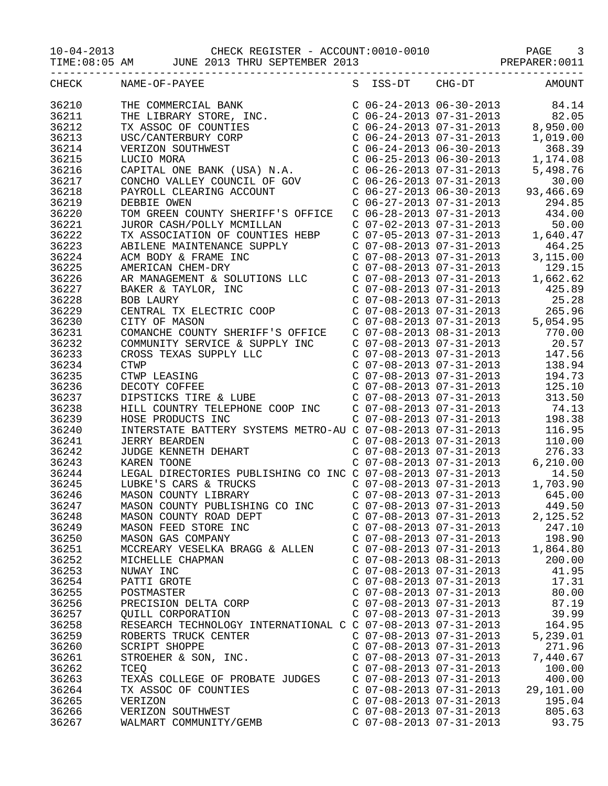| CHECK | NAME-OF-PAYEE                                                                                                                                                                                                                                    |                           | S ISS-DT CHG-DT AMOUNT                                                                                                                                                                                                                 |                                                                                                                                         |
|-------|--------------------------------------------------------------------------------------------------------------------------------------------------------------------------------------------------------------------------------------------------|---------------------------|----------------------------------------------------------------------------------------------------------------------------------------------------------------------------------------------------------------------------------------|-----------------------------------------------------------------------------------------------------------------------------------------|
| 36210 | THE COMMERCIAL BANK (CONTIES CONTRACT COMPANY CONTRACT CONTRACT CONTRACT CONTRACT CONTRACT CONTRACT CONTRACT CONTRACT CONTRACT CONTRACT CONTRACT CONTRACT CONTRACT CONTRACT CONTRACT CONTRACT CONTRACT CONTRACT CONTRACT CONTR                   |                           | $\begin{array}{llllll} \mbox{C} & 06-24-2013 & 06-30-2013 & & 84.14 \\ \mbox{C} & 06-24-2013 & 07-31-2013 & & 82.05 \\ \mbox{C} & 06-24-2013 & 07-31-2013 & & 8,950.00 \\ \mbox{C} & 06-24-2013 & 07-31-2013 & & 1,019.00 \end{array}$ |                                                                                                                                         |
| 36211 |                                                                                                                                                                                                                                                  |                           |                                                                                                                                                                                                                                        |                                                                                                                                         |
| 36212 |                                                                                                                                                                                                                                                  |                           |                                                                                                                                                                                                                                        |                                                                                                                                         |
| 36213 |                                                                                                                                                                                                                                                  |                           |                                                                                                                                                                                                                                        |                                                                                                                                         |
| 36214 |                                                                                                                                                                                                                                                  |                           |                                                                                                                                                                                                                                        |                                                                                                                                         |
| 36215 |                                                                                                                                                                                                                                                  |                           | C 06-24-2013 06-30-2013 368.39<br>C 06-25-2013 06-30-2013 1,174.08                                                                                                                                                                     |                                                                                                                                         |
| 36216 |                                                                                                                                                                                                                                                  |                           |                                                                                                                                                                                                                                        | 5,498.76                                                                                                                                |
| 36217 |                                                                                                                                                                                                                                                  |                           |                                                                                                                                                                                                                                        | 30.00                                                                                                                                   |
| 36218 |                                                                                                                                                                                                                                                  |                           |                                                                                                                                                                                                                                        | 93,466.69                                                                                                                               |
| 36219 |                                                                                                                                                                                                                                                  |                           |                                                                                                                                                                                                                                        | 294.85                                                                                                                                  |
| 36220 | TOM GREEN COUNTY SHERIFF'S OFFICE                                                                                                                                                                                                                |                           | $C$ 06-28-2013 07-31-2013 434.00                                                                                                                                                                                                       |                                                                                                                                         |
| 36221 | JUROR CASH/POLLY MCMILLAN                                                                                                                                                                                                                        |                           |                                                                                                                                                                                                                                        |                                                                                                                                         |
| 36222 |                                                                                                                                                                                                                                                  |                           |                                                                                                                                                                                                                                        | C 07-02-2013 07-31-2013 50.00<br>C 07-05-2013 07-31-2013 1,640.47<br>C 07-08-2013 07-31-2013 464.25<br>C 07-08-2013 07-31-2013 3,115.00 |
| 36223 | TX ASSOCIATION OF COUNTIES HEBP                                                                                                                                                                                                                  |                           |                                                                                                                                                                                                                                        |                                                                                                                                         |
| 36224 | ABILENE MAINTENANCE SUPPLY<br>ABILENE MAINTENANCE SUPPLY<br>C 07-08-2013 07-31-2013<br>C 07-08-2013 07-31-2013<br>C 07-08-2013 07-31-2013<br>3,115.00<br>AMERICAN CHEM-DRY<br>C 07-08-2013 07-31-2013<br>LAR MANAGEMENT & SOLUTIONS LLC<br>C 07- |                           |                                                                                                                                                                                                                                        |                                                                                                                                         |
| 36225 |                                                                                                                                                                                                                                                  |                           |                                                                                                                                                                                                                                        |                                                                                                                                         |
| 36226 |                                                                                                                                                                                                                                                  |                           |                                                                                                                                                                                                                                        |                                                                                                                                         |
|       |                                                                                                                                                                                                                                                  |                           |                                                                                                                                                                                                                                        |                                                                                                                                         |
| 36227 |                                                                                                                                                                                                                                                  |                           |                                                                                                                                                                                                                                        |                                                                                                                                         |
| 36228 |                                                                                                                                                                                                                                                  |                           | C 07-08-2013 07-31-2013<br>C 07-08-2013 07-31-2013<br>C 07-08-2013 07-31-2013<br>C 07-08-2013 07-31-2013<br>C 07-08-2013 07-31-2013<br>5,054.95                                                                                        |                                                                                                                                         |
| 36229 | CENTRAL TX ELECTRIC COOP<br>CITY OF MASON                                                                                                                                                                                                        |                           |                                                                                                                                                                                                                                        |                                                                                                                                         |
| 36230 | CITY OF MASON                                                                                                                                                                                                                                    |                           |                                                                                                                                                                                                                                        |                                                                                                                                         |
| 36231 | COMANCHE COUNTY SHERIFF'S OFFICE                                                                                                                                                                                                                 |                           |                                                                                                                                                                                                                                        |                                                                                                                                         |
| 36232 | COMMUNITY SERVICE & SUPPLY INC                                                                                                                                                                                                                   |                           |                                                                                                                                                                                                                                        |                                                                                                                                         |
| 36233 |                                                                                                                                                                                                                                                  |                           |                                                                                                                                                                                                                                        |                                                                                                                                         |
| 36234 | COMMUNITY SERVICE & SUPPLY LLC<br>CROSS TEXAS SUPPLY LLC<br>CTWP CTWP LEASING<br>CTWP LEASING<br>DECOTY COFFEE C D7-08-2013 07-31-2013<br>DECOTY COFFEE C D7-08-2013 07-31-2013<br>C 07-08-2013 07-31-2013<br>C 07-08-2013 07-31-2013<br>C 07-   |                           | C 07-08-2013 08-31-2013<br>C 07-08-2013 07-31-2013<br>C 07-08-2013 07-31-2013<br>C 07-08-2013 07-31-2013<br>C 07-08-2013 07-31-2013<br>C 07-08-2013 07-31-2013<br>138.94<br>C 07-08-2013 07-31-2013<br>194.73                          | 138.94                                                                                                                                  |
| 36235 |                                                                                                                                                                                                                                                  |                           |                                                                                                                                                                                                                                        |                                                                                                                                         |
| 36236 |                                                                                                                                                                                                                                                  |                           |                                                                                                                                                                                                                                        | 125.10                                                                                                                                  |
| 36237 |                                                                                                                                                                                                                                                  |                           |                                                                                                                                                                                                                                        | 313.50                                                                                                                                  |
| 36238 | HILL COUNTRY TELEPHONE COOP INC<br>HOSE PRODUCTS INC<br>INTERSTATE BATTERY SYSTEMS METRO-AU C 07-08-2013 07-31-2013<br>INTERSTATE BATTERY SYSTEMS METRO-AU C 07-08-2013 07-31-2013<br>116.95                                                     |                           |                                                                                                                                                                                                                                        |                                                                                                                                         |
| 36239 |                                                                                                                                                                                                                                                  |                           |                                                                                                                                                                                                                                        |                                                                                                                                         |
| 36240 |                                                                                                                                                                                                                                                  |                           |                                                                                                                                                                                                                                        |                                                                                                                                         |
| 36241 | JERRY BEARDEN<br>JUDGE KENNETH DEHART<br>KAREN TOONE                                                                                                                                                                                             |                           | $C$ 07-08-2013 07-31-2013                                                                                                                                                                                                              | 110.00                                                                                                                                  |
| 36242 |                                                                                                                                                                                                                                                  |                           | C 07-08-2013 07-31-2013<br>C 07-08-2013 07-31-2013 6                                                                                                                                                                                   | 276.33                                                                                                                                  |
| 36243 | KAREN TOONE                                                                                                                                                                                                                                      |                           |                                                                                                                                                                                                                                        | 6, 210.00                                                                                                                               |
| 36244 | LEGAL DIRECTORIES PUBLISHING CO INC C 07-08-2013 07-31-2013<br>LUBKE'S CARS & TRUCKS CONTY C 07-08-2013 07-31-2013<br>MASON COUNTY LIBRARY C 07-08-2013 07-31-2013 645.00                                                                        |                           |                                                                                                                                                                                                                                        |                                                                                                                                         |
| 36245 |                                                                                                                                                                                                                                                  |                           |                                                                                                                                                                                                                                        |                                                                                                                                         |
| 36246 |                                                                                                                                                                                                                                                  |                           |                                                                                                                                                                                                                                        |                                                                                                                                         |
| 36247 | MASON COUNTY PUBLISHING CO INC C 07-08-2013 07-31-2013                                                                                                                                                                                           |                           |                                                                                                                                                                                                                                        | 449.50                                                                                                                                  |
| 36248 | MASON COUNTY ROAD DEPT                                                                                                                                                                                                                           | $C$ 07-08-2013 07-31-2013 |                                                                                                                                                                                                                                        | 2,125.52                                                                                                                                |
| 36249 | MASON FEED STORE INC                                                                                                                                                                                                                             | $C$ 07-08-2013 07-31-2013 |                                                                                                                                                                                                                                        | 247.10                                                                                                                                  |
| 36250 | MASON GAS COMPANY                                                                                                                                                                                                                                | $C$ 07-08-2013 07-31-2013 |                                                                                                                                                                                                                                        | 198.90                                                                                                                                  |
| 36251 | MCCREARY VESELKA BRAGG & ALLEN                                                                                                                                                                                                                   | $C$ 07-08-2013 07-31-2013 |                                                                                                                                                                                                                                        | 1,864.80                                                                                                                                |
| 36252 | MICHELLE CHAPMAN                                                                                                                                                                                                                                 | $C$ 07-08-2013 08-31-2013 |                                                                                                                                                                                                                                        | 200.00                                                                                                                                  |
| 36253 | NUWAY INC                                                                                                                                                                                                                                        | $C$ 07-08-2013 07-31-2013 |                                                                                                                                                                                                                                        | 41.95                                                                                                                                   |
| 36254 | PATTI GROTE                                                                                                                                                                                                                                      | $C$ 07-08-2013 07-31-2013 |                                                                                                                                                                                                                                        | 17.31                                                                                                                                   |
| 36255 | POSTMASTER                                                                                                                                                                                                                                       | $C$ 07-08-2013 07-31-2013 |                                                                                                                                                                                                                                        | 80.00                                                                                                                                   |
| 36256 | PRECISION DELTA CORP                                                                                                                                                                                                                             | $C$ 07-08-2013 07-31-2013 |                                                                                                                                                                                                                                        | 87.19                                                                                                                                   |
| 36257 | <b>QUILL CORPORATION</b>                                                                                                                                                                                                                         | $C$ 07-08-2013 07-31-2013 |                                                                                                                                                                                                                                        | 39.99                                                                                                                                   |
| 36258 | RESEARCH TECHNOLOGY INTERNATIONAL C C 07-08-2013 07-31-2013                                                                                                                                                                                      |                           |                                                                                                                                                                                                                                        | 164.95                                                                                                                                  |
| 36259 | ROBERTS TRUCK CENTER                                                                                                                                                                                                                             | $C$ 07-08-2013 07-31-2013 |                                                                                                                                                                                                                                        | 5,239.01                                                                                                                                |
| 36260 | SCRIPT SHOPPE                                                                                                                                                                                                                                    | $C$ 07-08-2013 07-31-2013 |                                                                                                                                                                                                                                        | 271.96                                                                                                                                  |
| 36261 | STROEHER & SON, INC.                                                                                                                                                                                                                             | $C$ 07-08-2013 07-31-2013 |                                                                                                                                                                                                                                        | 7,440.67                                                                                                                                |
| 36262 | TCEQ                                                                                                                                                                                                                                             | $C$ 07-08-2013 07-31-2013 |                                                                                                                                                                                                                                        | 100.00                                                                                                                                  |
| 36263 | TEXAS COLLEGE OF PROBATE JUDGES                                                                                                                                                                                                                  | $C$ 07-08-2013 07-31-2013 |                                                                                                                                                                                                                                        | 400.00                                                                                                                                  |
| 36264 | TX ASSOC OF COUNTIES                                                                                                                                                                                                                             | $C$ 07-08-2013 07-31-2013 |                                                                                                                                                                                                                                        | 29,101.00                                                                                                                               |
| 36265 | VERIZON                                                                                                                                                                                                                                          | $C$ 07-08-2013 07-31-2013 |                                                                                                                                                                                                                                        | 195.04                                                                                                                                  |
| 36266 | VERIZON SOUTHWEST                                                                                                                                                                                                                                | $C$ 07-08-2013 07-31-2013 |                                                                                                                                                                                                                                        | 805.63                                                                                                                                  |
| 36267 | WALMART COMMUNITY/GEMB                                                                                                                                                                                                                           | $C$ 07-08-2013 07-31-2013 |                                                                                                                                                                                                                                        | 93.75                                                                                                                                   |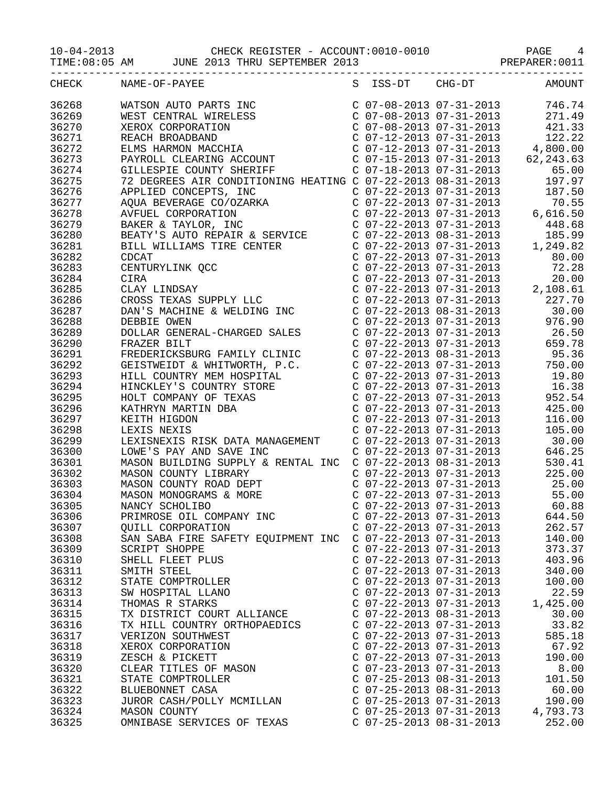| 36268 |                                                                                                                                                                                                                                             | C 07-08-2013 07-31-2013<br>C 07-08-2013 07-31-2013<br>C 07-08-2013 07-31-2013 | 746.74                                                                                                                                                                       |
|-------|---------------------------------------------------------------------------------------------------------------------------------------------------------------------------------------------------------------------------------------------|-------------------------------------------------------------------------------|------------------------------------------------------------------------------------------------------------------------------------------------------------------------------|
| 36269 |                                                                                                                                                                                                                                             |                                                                               | 271.49                                                                                                                                                                       |
| 36270 |                                                                                                                                                                                                                                             |                                                                               | 421.33                                                                                                                                                                       |
| 36271 |                                                                                                                                                                                                                                             |                                                                               | 122.22                                                                                                                                                                       |
| 36272 |                                                                                                                                                                                                                                             |                                                                               | $C$ 07-12-2013 07-31-2013 4,800.00                                                                                                                                           |
| 36273 |                                                                                                                                                                                                                                             |                                                                               | 62, 243.63                                                                                                                                                                   |
| 36274 |                                                                                                                                                                                                                                             |                                                                               | 65.00                                                                                                                                                                        |
| 36275 |                                                                                                                                                                                                                                             |                                                                               | 197.97                                                                                                                                                                       |
| 36276 |                                                                                                                                                                                                                                             | $C$ 07-22-2013 07-31-2013                                                     | 187.50                                                                                                                                                                       |
| 36277 |                                                                                                                                                                                                                                             | $C$ 07-22-2013 07-31-2013                                                     | 70.55                                                                                                                                                                        |
| 36278 | 72 DEGREES AIR CONDITIONING HEATING C 07-22-2013 07-31-2013<br>APPLIED CONCEPTS, INC<br>C 07-22-2013 07-31-2013<br>AVEUEL CORPORATION<br>AVEUEL CORPORATION<br>AVEUEL CORPORATION<br>C 07-22-2013 07-31-2013<br>BAKER & TAYLOR, INC<br>C 07 |                                                                               | $C$ 07-22-2013 07-31-2013 6,616.50                                                                                                                                           |
| 36279 |                                                                                                                                                                                                                                             |                                                                               | 448.68                                                                                                                                                                       |
| 36280 |                                                                                                                                                                                                                                             |                                                                               | 185.99                                                                                                                                                                       |
| 36281 |                                                                                                                                                                                                                                             |                                                                               | 1,249.82                                                                                                                                                                     |
| 36282 |                                                                                                                                                                                                                                             | $C$ 07-22-2013 07-31-2013                                                     | 80.00                                                                                                                                                                        |
| 36283 |                                                                                                                                                                                                                                             |                                                                               | 72.28                                                                                                                                                                        |
| 36284 |                                                                                                                                                                                                                                             |                                                                               |                                                                                                                                                                              |
| 36285 |                                                                                                                                                                                                                                             |                                                                               |                                                                                                                                                                              |
| 36286 |                                                                                                                                                                                                                                             |                                                                               | $\begin{array}{cccc} \text{C} & 07-22-2013 & 07-31-2013 & 20.00 \\ \text{C} & 07-22-2013 & 07-31-2013 & 2,108.61 \\ \text{C} & 07-22-2013 & 07-31-2013 & 227.70 \end{array}$ |
| 36287 | DAN'S MACHINE & WELDING INC                                                                                                                                                                                                                 | $C$ 07-22-2013 08-31-2013                                                     | 30.00                                                                                                                                                                        |
| 36288 | DEBBIE OWEN                                                                                                                                                                                                                                 | $C$ 07-22-2013 07-31-2013                                                     | 976.90                                                                                                                                                                       |
| 36289 | DOLLAR GENERAL-CHARGED SALES                                                                                                                                                                                                                | $C$ 07-22-2013 07-31-2013                                                     | 26.50                                                                                                                                                                        |
| 36290 | FRAZER BILT                                                                                                                                                                                                                                 |                                                                               | 659.78                                                                                                                                                                       |
| 36291 | C 07-22-2013 07-31-2013<br>FREDERICKSBURG FAMILY CLINIC C 07-22-2013 08-31-2013<br>GEISTWEIDT & WHITWORTH, P.C. C 07-22-2013 07-31-2013<br>HILL COUNTRY MEM HOSPITAL C 07-22-2013 07-31-2013<br>HINCKLEY'S COUNTRY SESSE                    | C 07-22-2013 07-31-2013<br>C 07-22-2013 08-31-2013                            | 95.36                                                                                                                                                                        |
| 36292 |                                                                                                                                                                                                                                             |                                                                               | 750.00                                                                                                                                                                       |
| 36293 |                                                                                                                                                                                                                                             |                                                                               | 19.80                                                                                                                                                                        |
| 36294 | HINCKLEY'S COUNTRY STORE<br>HOLT COMPANY OF TEXAS<br>KATHRYN MARTIN DBA<br>KEITH HIGDON<br>LEXIS NEXIS                                                                                                                                      | $C$ 07-22-2013 07-31-2013                                                     | 16.38                                                                                                                                                                        |
| 36295 |                                                                                                                                                                                                                                             | $C$ 07-22-2013 07-31-2013                                                     | 952.54                                                                                                                                                                       |
| 36296 |                                                                                                                                                                                                                                             |                                                                               | 425.00                                                                                                                                                                       |
| 36297 |                                                                                                                                                                                                                                             | C 07-22-2013 07-31-2013<br>C 07-22-2013 07-31-2013                            | 116.00                                                                                                                                                                       |
| 36298 |                                                                                                                                                                                                                                             | $C$ 07-22-2013 07-31-2013                                                     | 105.00                                                                                                                                                                       |
| 36299 | LEXISNEXIS RISK DATA MANAGEMENT C 07-22-2013 07-31-2013                                                                                                                                                                                     |                                                                               | 30.00                                                                                                                                                                        |
| 36300 | LOWE'S PAY AND SAVE INC                                                                                                                                                                                                                     | $C$ 07-22-2013 07-31-2013                                                     | 646.25                                                                                                                                                                       |
| 36301 |                                                                                                                                                                                                                                             |                                                                               | 530.41                                                                                                                                                                       |
| 36302 | MASON BUILDING SUPPLY & RENTAL INC $C$ 07-22-2013 08-31-2013<br>MASON COUNTY LIBRARY $C$ 07-22-2013 07-31-2013                                                                                                                              |                                                                               | 225.00                                                                                                                                                                       |
| 36303 | MASON COUNTY LIBRARY<br>MASON COUNTY ROAD DEPT                                                                                                                                                                                              | $C$ 07-22-2013 07-31-2013                                                     | 25.00                                                                                                                                                                        |
| 36304 | MASON MONOGRAMS & MORE                                                                                                                                                                                                                      | $C$ 07-22-2013 07-31-2013                                                     | 55.00                                                                                                                                                                        |
| 36305 | NANCY SCHOLIBO                                                                                                                                                                                                                              | $C$ 07-22-2013 07-31-2013                                                     | 60.88                                                                                                                                                                        |
| 36306 | PRIMROSE OIL COMPANY INC                                                                                                                                                                                                                    | $C$ 07-22-2013 07-31-2013                                                     | 644.50                                                                                                                                                                       |
| 36307 | QUILL CORPORATION                                                                                                                                                                                                                           | $C$ 07-22-2013 07-31-2013                                                     | 262.57                                                                                                                                                                       |
| 36308 | SAN SABA FIRE SAFETY EQUIPMENT INC C 07-22-2013 07-31-2013                                                                                                                                                                                  |                                                                               | 140.00                                                                                                                                                                       |
| 36309 | <b>SCRIPT SHOPPE</b>                                                                                                                                                                                                                        | $C$ 07-22-2013 07-31-2013                                                     | 373.37                                                                                                                                                                       |
| 36310 | SHELL FLEET PLUS                                                                                                                                                                                                                            | $C$ 07-22-2013 07-31-2013                                                     | 403.96                                                                                                                                                                       |
| 36311 | SMITH STEEL                                                                                                                                                                                                                                 | $C$ 07-22-2013 07-31-2013                                                     | 340.00                                                                                                                                                                       |
| 36312 | STATE COMPTROLLER                                                                                                                                                                                                                           | $C$ 07-22-2013 07-31-2013                                                     | 100.00                                                                                                                                                                       |
| 36313 | SW HOSPITAL LLANO                                                                                                                                                                                                                           | $C$ 07-22-2013 07-31-2013                                                     | 22.59                                                                                                                                                                        |
| 36314 | THOMAS R STARKS                                                                                                                                                                                                                             | $C$ 07-22-2013 07-31-2013                                                     | 1,425.00                                                                                                                                                                     |
| 36315 | TX DISTRICT COURT ALLIANCE                                                                                                                                                                                                                  | $C$ 07-22-2013 08-31-2013                                                     | 30.00                                                                                                                                                                        |
| 36316 | TX HILL COUNTRY ORTHOPAEDICS                                                                                                                                                                                                                | $C$ 07-22-2013 07-31-2013                                                     | 33.82                                                                                                                                                                        |
| 36317 | VERIZON SOUTHWEST                                                                                                                                                                                                                           | $C$ 07-22-2013 07-31-2013                                                     | 585.18                                                                                                                                                                       |
| 36318 | XEROX CORPORATION                                                                                                                                                                                                                           | $C$ 07-22-2013 07-31-2013                                                     | 67.92                                                                                                                                                                        |
| 36319 | ZESCH & PICKETT                                                                                                                                                                                                                             | $C$ 07-22-2013 07-31-2013                                                     | 190.00                                                                                                                                                                       |
| 36320 | CLEAR TITLES OF MASON                                                                                                                                                                                                                       | $C$ 07-23-2013 07-31-2013                                                     | 8.00                                                                                                                                                                         |
| 36321 | STATE COMPTROLLER                                                                                                                                                                                                                           | $C$ 07-25-2013 08-31-2013                                                     | 101.50                                                                                                                                                                       |
| 36322 | BLUEBONNET CASA                                                                                                                                                                                                                             | $C$ 07-25-2013 08-31-2013                                                     | 60.00                                                                                                                                                                        |
| 36323 | JUROR CASH/POLLY MCMILLAN                                                                                                                                                                                                                   | $C$ 07-25-2013 07-31-2013                                                     | 190.00                                                                                                                                                                       |
| 36324 | MASON COUNTY                                                                                                                                                                                                                                | $C$ 07-25-2013 07-31-2013                                                     | 4,793.73                                                                                                                                                                     |
| 36325 | OMNIBASE SERVICES OF TEXAS                                                                                                                                                                                                                  | $C$ 07-25-2013 08-31-2013                                                     | 252.00                                                                                                                                                                       |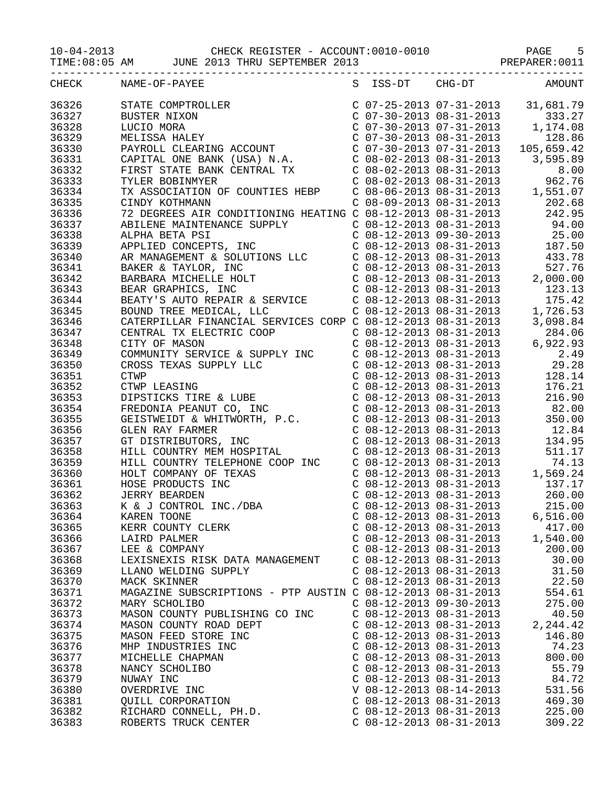TIME:08:05 AM JUNE 2013 THRU SEPTEMBER 2013 PREPARER:0011

|       | S ISS-DT CHG-DT AMOUNT<br>CHECK NAME-OF-PAYEE               |                                                        |                           |          |
|-------|-------------------------------------------------------------|--------------------------------------------------------|---------------------------|----------|
|       |                                                             |                                                        |                           |          |
|       |                                                             |                                                        |                           |          |
|       |                                                             |                                                        |                           |          |
|       |                                                             |                                                        |                           |          |
|       |                                                             |                                                        |                           |          |
|       |                                                             |                                                        |                           |          |
|       |                                                             |                                                        |                           |          |
|       |                                                             |                                                        |                           |          |
|       |                                                             |                                                        |                           |          |
|       |                                                             |                                                        |                           |          |
|       |                                                             |                                                        |                           |          |
|       |                                                             |                                                        |                           |          |
|       |                                                             |                                                        |                           |          |
|       |                                                             |                                                        |                           |          |
|       |                                                             |                                                        |                           |          |
|       |                                                             |                                                        |                           |          |
|       |                                                             |                                                        |                           |          |
|       |                                                             |                                                        |                           |          |
|       |                                                             |                                                        |                           |          |
|       |                                                             |                                                        |                           |          |
|       |                                                             |                                                        |                           |          |
|       |                                                             |                                                        |                           |          |
|       |                                                             |                                                        |                           |          |
|       |                                                             |                                                        |                           |          |
|       |                                                             |                                                        |                           |          |
|       |                                                             |                                                        |                           |          |
|       |                                                             |                                                        |                           |          |
|       |                                                             |                                                        |                           |          |
|       |                                                             |                                                        |                           |          |
|       |                                                             |                                                        |                           |          |
|       |                                                             |                                                        |                           |          |
|       |                                                             |                                                        |                           |          |
|       |                                                             |                                                        |                           |          |
|       |                                                             |                                                        |                           |          |
|       |                                                             |                                                        |                           |          |
|       |                                                             |                                                        |                           |          |
|       |                                                             |                                                        |                           |          |
|       |                                                             |                                                        |                           |          |
|       |                                                             |                                                        |                           |          |
|       |                                                             |                                                        |                           |          |
|       |                                                             |                                                        | $C$ 08-12-2013 08-31-2013 | 6,516.00 |
| 36364 | KAREN TOONE                                                 |                                                        |                           |          |
| 36365 | KERR COUNTY CLERK                                           | $C$ 08-12-2013 08-31-2013<br>$C$ 08-12-2013 08-31-2013 |                           | 417.00   |
| 36366 | LAIRD PALMER                                                |                                                        |                           | 1,540.00 |
| 36367 | LEE & COMPANY                                               | $C$ 08-12-2013 08-31-2013                              |                           | 200.00   |
| 36368 | LEXISNEXIS RISK DATA MANAGEMENT                             | $C$ 08-12-2013 08-31-2013                              |                           | 30.00    |
| 36369 | LLANO WELDING SUPPLY                                        | $C$ 08-12-2013 08-31-2013                              |                           | 31.50    |
| 36370 | MACK SKINNER                                                | $C$ 08-12-2013 08-31-2013                              |                           | 22.50    |
| 36371 | MAGAZINE SUBSCRIPTIONS - PTP AUSTIN C 08-12-2013 08-31-2013 |                                                        |                           | 554.61   |
| 36372 | MARY SCHOLIBO                                               | $C$ 08-12-2013 09-30-2013                              |                           | 275.00   |
| 36373 | MASON COUNTY PUBLISHING CO INC                              | $C$ 08-12-2013 08-31-2013                              |                           | 40.50    |
| 36374 | MASON COUNTY ROAD DEPT                                      | $C$ 08-12-2013 08-31-2013                              |                           | 2,244.42 |
| 36375 | MASON FEED STORE INC                                        | $C$ 08-12-2013 08-31-2013                              |                           | 146.80   |
| 36376 | MHP INDUSTRIES INC                                          | $C$ 08-12-2013 08-31-2013                              |                           | 74.23    |
| 36377 | MICHELLE CHAPMAN                                            | $C$ 08-12-2013 08-31-2013                              |                           | 800.00   |
| 36378 | NANCY SCHOLIBO                                              | $C$ 08-12-2013 08-31-2013                              |                           | 55.79    |
| 36379 | NUWAY INC                                                   | $C$ 08-12-2013 08-31-2013                              |                           | 84.72    |
| 36380 | OVERDRIVE INC                                               | V 08-12-2013 08-14-2013                                |                           | 531.56   |
| 36381 |                                                             | $C$ 08-12-2013 08-31-2013                              |                           | 469.30   |
|       | QUILL CORPORATION                                           |                                                        |                           |          |
| 36382 | RICHARD CONNELL, PH.D.                                      | $C$ 08-12-2013 08-31-2013                              |                           | 225.00   |

36383 ROBERTS TRUCK CENTER C 08-12-2013 08-31-2013 309.22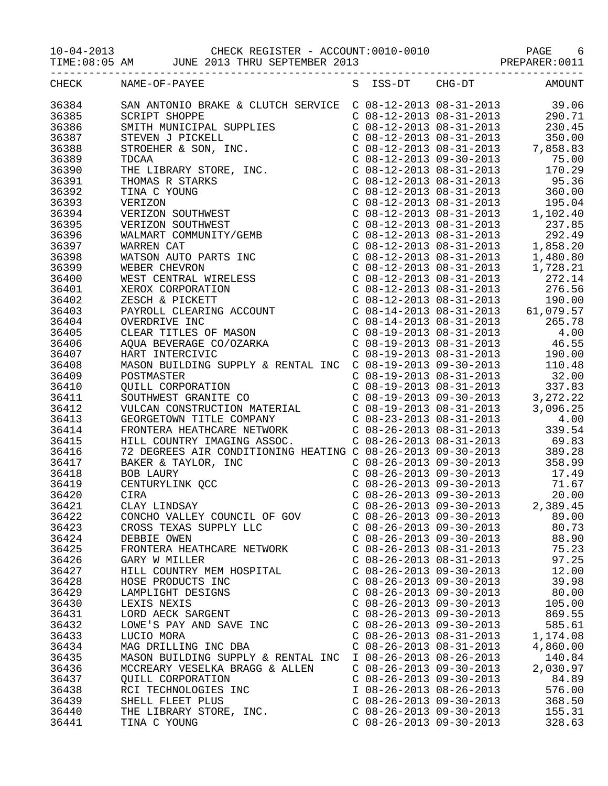|                                           | CHECK NAME-OF-PAYEE                                                                                                                                                                                                                                                                                                 |                           |  | S ISS-DT CHG-DT AMOUNT |
|-------------------------------------------|---------------------------------------------------------------------------------------------------------------------------------------------------------------------------------------------------------------------------------------------------------------------------------------------------------------------|---------------------------|--|------------------------|
|                                           | CHECK NAME-OP-PAYER SITS-DT CH6-DT 2013<br>1938-31 2010 2014<br>26284<br>26284<br>26285 2012<br>2717 SHOPE SEVICE SERVICE COB-12-2013 08-31-2013<br>283,000<br>2717 SHOPE SUPER SUPER COB-12-2013 08-31-2013<br>283,000<br>26287 2717 SHOPE STR                                                                     |                           |  |                        |
|                                           |                                                                                                                                                                                                                                                                                                                     |                           |  |                        |
|                                           |                                                                                                                                                                                                                                                                                                                     |                           |  |                        |
|                                           |                                                                                                                                                                                                                                                                                                                     |                           |  |                        |
|                                           |                                                                                                                                                                                                                                                                                                                     |                           |  |                        |
| 36420                                     | CIRA                                                                                                                                                                                                                                                                                                                | $C$ 08-26-2013 09-30-2013 |  | 20.00                  |
| 36421<br>36422<br>36423<br>36424<br>36425 | CLAY LINDSAY<br>CONCHO VALLEY COUNCIL OF GOV<br>CONCHO VALLEY COUNCIL OF GOV C 08-26-2013 09-30-2013 89.00<br>CROSS TEXAS SUPPLY LLC C 08-26-2013 09-30-2013 80.73<br>DEBBIE OWEN<br>FRONTERA HEATHCARE NETWORK C 08-26-2013 08-31-2013                                                                             | $C$ 08-26-2013 09-30-2013 |  | 88.90<br>75.23         |
| 36426<br>36427<br>36428<br>36429          | GARY W MILLER<br>HILL COUNTRY MEM HOSPITAL COUNTRY MEM HOSPITAL COUNTRY MEM HOSPITAL COUNTRY MEM HOSPITAL COUNTRY MEM HOSPITAL<br>HOSE PRODUCTS INC C 08-26-2013 09-30-2013 12.00<br>C 08-26-2013 09-30-2013 39.98<br>C 08-26-2013 09-                                                                              |                           |  |                        |
| 36430<br>36431<br>36432<br>36433<br>36434 | HOSE PRODUCTS INC<br>HOSE PRODUCTS INC<br>LAMPLIGHT DESIGNS<br>LEXIS NEXIS<br>LEXIS NEXIS<br>LEXIS NEXIS<br>LEXIS NEXIS<br>LEXIS NEXIS<br>LEXIS NEXIS<br>LEXIS NEXIS<br>LEXIS NEXIS<br>C 08-26-2013 09-30-2013<br>C 08-26-2013 09-30-2013<br>C 08-26-201                                                            |                           |  |                        |
| 36435<br>36436<br>36437<br>36438          | MCCREARY VESELKA BRAGG & ALLEN C 08-26-2013 09-30-2013 2,030.97<br>9UILL CORPORATION<br>RCI TECHNOLOGIES INC<br>SHELL FLEET PLUS<br>THE LIBRARY STORE, INC.<br>C 08-26-2013 09-30-2013<br>C 08-26-2013 09-30-2013<br>C 08-26-2013 09-30-2013<br>C 08-26-2013 09-30-2013<br>268.50<br>C 08-26-2013 09-30-2013<br>25. |                           |  |                        |
| 36439<br>36440                            |                                                                                                                                                                                                                                                                                                                     |                           |  |                        |

36441 TINA C YOUNG C 08-26-2013 09-30-2013 328.63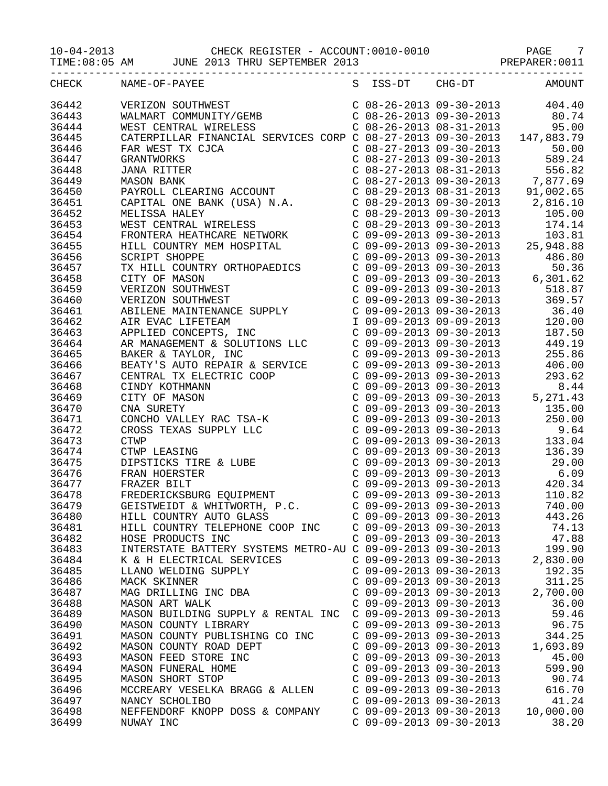# 10-04-2013 CHECK REGISTER - ACCOUNT:0010-0010 PAGE 7 TIME:08:05 AM JUNE 2013 THRU SEPTEMBER 2013 PREPARER:0011

| CHECK | NAME-OF-PAYEE                                                                                                                                                                                                                                                                                                                                  |                           | S ISS-DT CHG-DT AMOUNT |
|-------|------------------------------------------------------------------------------------------------------------------------------------------------------------------------------------------------------------------------------------------------------------------------------------------------------------------------------------------------|---------------------------|------------------------|
| 36442 | VERIZON SOUTHWEST<br>WALMART COMMUNITY/GEMB<br>WEST CENTRAL WIRELESS<br>VERIZON SOUTHWEST<br>WALMART COMMUNITY/GEMB<br>WEST CENTRAL WIRELESS<br>CATERPILLAR FINANCIAL SERVICES CORP C 08-27-2013 09-30-2013<br>CATERPILLAR FINANCIAL SERVICES CORP C 08-27-2013 09-30-2013 147,883.79<br>FAR WEST TX CJCA                                      |                           |                        |
| 36443 |                                                                                                                                                                                                                                                                                                                                                |                           |                        |
|       |                                                                                                                                                                                                                                                                                                                                                |                           |                        |
| 36444 | $\begin{tabular}{l ll} \textbf{WIST} \texttt{CENT-TR} \texttt{CENTAL VITREERS} & \texttt{C 09-27-2013 09-31-2013} & 99.50 \\ \texttt{CART RENTER} \texttt{WIST} \texttt{N GCM} & 0 & 09-27-2013 09-30-2013 & 147,983.79 \\ \texttt{GRA WIST TR CICA} & 0 & 08-27-2013 09-30-2013 & 147,983.79 \\ \texttt{GRAW TURC} \texttt{WOLR} & 0 & 08-27$ |                           |                        |
| 36445 |                                                                                                                                                                                                                                                                                                                                                |                           |                        |
| 36446 |                                                                                                                                                                                                                                                                                                                                                |                           |                        |
| 36447 |                                                                                                                                                                                                                                                                                                                                                |                           |                        |
| 36448 |                                                                                                                                                                                                                                                                                                                                                |                           |                        |
| 36449 |                                                                                                                                                                                                                                                                                                                                                |                           |                        |
| 36450 |                                                                                                                                                                                                                                                                                                                                                |                           |                        |
| 36451 |                                                                                                                                                                                                                                                                                                                                                |                           |                        |
| 36452 |                                                                                                                                                                                                                                                                                                                                                |                           |                        |
| 36453 |                                                                                                                                                                                                                                                                                                                                                |                           |                        |
| 36454 |                                                                                                                                                                                                                                                                                                                                                |                           |                        |
| 36455 |                                                                                                                                                                                                                                                                                                                                                |                           |                        |
|       |                                                                                                                                                                                                                                                                                                                                                |                           |                        |
| 36456 |                                                                                                                                                                                                                                                                                                                                                |                           |                        |
| 36457 |                                                                                                                                                                                                                                                                                                                                                |                           |                        |
| 36458 |                                                                                                                                                                                                                                                                                                                                                |                           |                        |
| 36459 |                                                                                                                                                                                                                                                                                                                                                |                           |                        |
| 36460 |                                                                                                                                                                                                                                                                                                                                                |                           |                        |
| 36461 |                                                                                                                                                                                                                                                                                                                                                |                           |                        |
| 36462 |                                                                                                                                                                                                                                                                                                                                                |                           |                        |
| 36463 |                                                                                                                                                                                                                                                                                                                                                |                           |                        |
| 36464 |                                                                                                                                                                                                                                                                                                                                                |                           |                        |
| 36465 |                                                                                                                                                                                                                                                                                                                                                |                           |                        |
| 36466 |                                                                                                                                                                                                                                                                                                                                                |                           |                        |
| 36467 |                                                                                                                                                                                                                                                                                                                                                |                           |                        |
|       |                                                                                                                                                                                                                                                                                                                                                |                           |                        |
| 36468 |                                                                                                                                                                                                                                                                                                                                                |                           |                        |
| 36469 |                                                                                                                                                                                                                                                                                                                                                |                           |                        |
| 36470 |                                                                                                                                                                                                                                                                                                                                                |                           |                        |
| 36471 |                                                                                                                                                                                                                                                                                                                                                |                           |                        |
| 36472 |                                                                                                                                                                                                                                                                                                                                                |                           |                        |
| 36473 |                                                                                                                                                                                                                                                                                                                                                |                           |                        |
| 36474 |                                                                                                                                                                                                                                                                                                                                                |                           |                        |
| 36475 |                                                                                                                                                                                                                                                                                                                                                |                           |                        |
| 36476 |                                                                                                                                                                                                                                                                                                                                                |                           |                        |
| 36477 |                                                                                                                                                                                                                                                                                                                                                |                           |                        |
| 36478 |                                                                                                                                                                                                                                                                                                                                                |                           |                        |
| 36479 |                                                                                                                                                                                                                                                                                                                                                |                           |                        |
|       |                                                                                                                                                                                                                                                                                                                                                | $C$ 09-09-2013 09-30-2013 | 443.26                 |
| 36480 | HILL COUNTRY AUTO GLASS                                                                                                                                                                                                                                                                                                                        | $C$ 09-09-2013 09-30-2013 |                        |
| 36481 | HILL COUNTRY TELEPHONE COOP INC                                                                                                                                                                                                                                                                                                                |                           | 74.13                  |
| 36482 | HOSE PRODUCTS INC                                                                                                                                                                                                                                                                                                                              | $C$ 09-09-2013 09-30-2013 | 47.88                  |
| 36483 | INTERSTATE BATTERY SYSTEMS METRO-AU C 09-09-2013 09-30-2013                                                                                                                                                                                                                                                                                    |                           | 199.90                 |
| 36484 | K & H ELECTRICAL SERVICES                                                                                                                                                                                                                                                                                                                      | $C$ 09-09-2013 09-30-2013 | 2,830.00               |
| 36485 | LLANO WELDING SUPPLY                                                                                                                                                                                                                                                                                                                           | $C$ 09-09-2013 09-30-2013 | 192.35                 |
| 36486 | MACK SKINNER                                                                                                                                                                                                                                                                                                                                   | $C$ 09-09-2013 09-30-2013 | 311.25                 |
| 36487 | MAG DRILLING INC DBA                                                                                                                                                                                                                                                                                                                           | $C$ 09-09-2013 09-30-2013 | 2,700.00               |
| 36488 | <b>MASON ART WALK</b>                                                                                                                                                                                                                                                                                                                          | $C$ 09-09-2013 09-30-2013 | 36.00                  |
| 36489 | MASON BUILDING SUPPLY & RENTAL INC                                                                                                                                                                                                                                                                                                             | C 09-09-2013 09-30-2013   | 59.46                  |
| 36490 | MASON COUNTY LIBRARY                                                                                                                                                                                                                                                                                                                           | $C$ 09-09-2013 09-30-2013 | 96.75                  |
| 36491 | MASON COUNTY PUBLISHING CO INC                                                                                                                                                                                                                                                                                                                 | $C$ 09-09-2013 09-30-2013 | 344.25                 |
| 36492 | MASON COUNTY ROAD DEPT                                                                                                                                                                                                                                                                                                                         | $C$ 09-09-2013 09-30-2013 | 1,693.89               |
| 36493 | MASON FEED STORE INC                                                                                                                                                                                                                                                                                                                           | $C$ 09-09-2013 09-30-2013 | 45.00                  |
| 36494 | MASON FUNERAL HOME                                                                                                                                                                                                                                                                                                                             | $C$ 09-09-2013 09-30-2013 | 599.90                 |
|       |                                                                                                                                                                                                                                                                                                                                                |                           |                        |
| 36495 | MASON SHORT STOP                                                                                                                                                                                                                                                                                                                               | $C$ 09-09-2013 09-30-2013 | 90.74                  |
| 36496 | MCCREARY VESELKA BRAGG & ALLEN                                                                                                                                                                                                                                                                                                                 | $C$ 09-09-2013 09-30-2013 | 616.70                 |
| 36497 | NANCY SCHOLIBO                                                                                                                                                                                                                                                                                                                                 | C 09-09-2013 09-30-2013   | 41.24                  |
| 36498 | NEFFENDORF KNOPP DOSS & COMPANY                                                                                                                                                                                                                                                                                                                | $C$ 09-09-2013 09-30-2013 | 10,000.00              |
| 36499 | NUWAY INC                                                                                                                                                                                                                                                                                                                                      | $C$ 09-09-2013 09-30-2013 | 38.20                  |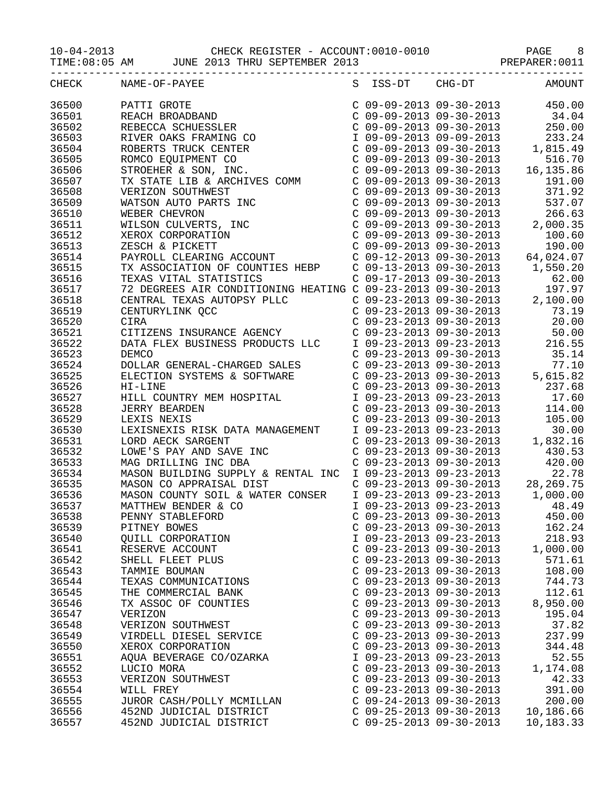| CHECK | NAME-OF-PAYEE                                                                                                                                                                                                                                                                                                                                                                                              |                           |                           | S ISS-DT CHG-DT AMOUNT        |
|-------|------------------------------------------------------------------------------------------------------------------------------------------------------------------------------------------------------------------------------------------------------------------------------------------------------------------------------------------------------------------------------------------------------------|---------------------------|---------------------------|-------------------------------|
| 36500 | $\begin{tabular}{l c c c c c} \multicolumn{4}{c}{\textbf{PATH GROTE}} & $\mathbb{C}$ & $\mathbb{O}9$-$0$-$2013$ & $\mathbb{O}9$-$0$-$2013$ & $\mathbb{O}4$-$0$ \\ \multicolumn{4}{c}{\textbf{REBECCA SCHUESSLER}} & $\mathbb{C}$ & $\mathbb{O}9$-$0$-$2013$ & $\mathbb{O}4$-$0$ \\ \multicolumn{4}{c}{\textbf{REBECCA SCHUESSLER}} & $\mathbb{C}$ & $\mathbb{O}9$-$0$-$2013$ & $\mathbb{O}9$-$0$-$2013$ &$ |                           |                           |                               |
| 36501 |                                                                                                                                                                                                                                                                                                                                                                                                            |                           |                           |                               |
| 36502 |                                                                                                                                                                                                                                                                                                                                                                                                            |                           |                           |                               |
| 36503 |                                                                                                                                                                                                                                                                                                                                                                                                            |                           |                           |                               |
| 36504 |                                                                                                                                                                                                                                                                                                                                                                                                            |                           |                           |                               |
| 36505 |                                                                                                                                                                                                                                                                                                                                                                                                            |                           |                           |                               |
| 36506 |                                                                                                                                                                                                                                                                                                                                                                                                            |                           |                           |                               |
| 36507 |                                                                                                                                                                                                                                                                                                                                                                                                            |                           |                           |                               |
| 36508 |                                                                                                                                                                                                                                                                                                                                                                                                            |                           |                           |                               |
| 36509 |                                                                                                                                                                                                                                                                                                                                                                                                            |                           |                           |                               |
|       |                                                                                                                                                                                                                                                                                                                                                                                                            |                           |                           |                               |
| 36510 |                                                                                                                                                                                                                                                                                                                                                                                                            |                           |                           |                               |
| 36511 |                                                                                                                                                                                                                                                                                                                                                                                                            |                           |                           |                               |
| 36512 |                                                                                                                                                                                                                                                                                                                                                                                                            |                           |                           |                               |
| 36513 |                                                                                                                                                                                                                                                                                                                                                                                                            |                           |                           |                               |
| 36514 |                                                                                                                                                                                                                                                                                                                                                                                                            |                           |                           |                               |
| 36515 |                                                                                                                                                                                                                                                                                                                                                                                                            |                           |                           |                               |
| 36516 |                                                                                                                                                                                                                                                                                                                                                                                                            |                           |                           |                               |
| 36517 |                                                                                                                                                                                                                                                                                                                                                                                                            |                           |                           |                               |
| 36518 |                                                                                                                                                                                                                                                                                                                                                                                                            |                           |                           |                               |
| 36519 |                                                                                                                                                                                                                                                                                                                                                                                                            |                           |                           |                               |
| 36520 | TX ASSOCIATION OF COUNTIES HEBP<br>TX ASSOCIATION OF COUNTIES HEBP<br>C 09-13-2013 09-30-2013 1,550.20<br>C 09-17-2013 09-30-2013 62.00<br>72 DEGREES AIR CONDITIONING HEATING C 09-23-2013 09-30-2013 197.97<br>CENTRAL TEXAS AUTOPSY                                                                                                                                                                     |                           |                           |                               |
| 36521 | CITIZENS INSURANCE AGENCY                                                                                                                                                                                                                                                                                                                                                                                  |                           |                           | C 09-23-2013 09-30-2013 50.00 |
| 36522 |                                                                                                                                                                                                                                                                                                                                                                                                            |                           |                           |                               |
| 36523 |                                                                                                                                                                                                                                                                                                                                                                                                            |                           |                           |                               |
| 36524 |                                                                                                                                                                                                                                                                                                                                                                                                            |                           |                           |                               |
| 36525 | DATA FLEX BUSINESS PRODUCTS LLC $109-23-2013$ 09-23-2013 216.55<br>DEMCO C 09-23-2013 09-30-2013 216.55<br>DEMCO C 09-23-2013 09-30-2013 35.14<br>DOLLAR GENERAL-CHARGED SALES C 09-23-2013 09-30-2013 77.10<br>ELECTION SYSTEMS & SOF                                                                                                                                                                     |                           |                           |                               |
| 36526 |                                                                                                                                                                                                                                                                                                                                                                                                            |                           |                           |                               |
| 36527 |                                                                                                                                                                                                                                                                                                                                                                                                            |                           |                           |                               |
| 36528 |                                                                                                                                                                                                                                                                                                                                                                                                            |                           |                           |                               |
| 36529 |                                                                                                                                                                                                                                                                                                                                                                                                            |                           |                           |                               |
| 36530 |                                                                                                                                                                                                                                                                                                                                                                                                            |                           |                           |                               |
| 36531 |                                                                                                                                                                                                                                                                                                                                                                                                            |                           |                           |                               |
| 36532 |                                                                                                                                                                                                                                                                                                                                                                                                            |                           |                           |                               |
| 36533 |                                                                                                                                                                                                                                                                                                                                                                                                            |                           |                           |                               |
| 36534 | MAG DRILLING INC DBA<br>MASON BUILDING SUPPLY & RENTAL INC I 09-23-2013 09-30-2013 420.00<br>MASON CO APPRAISAL DIST C 09-23-2013 09-23-2013 28,269.75<br>MASON COUNTY SOIL & WATER CONSER I 09-23-2013 09-30-2013 1,000.00                                                                                                                                                                                |                           |                           |                               |
|       |                                                                                                                                                                                                                                                                                                                                                                                                            |                           |                           |                               |
| 36535 |                                                                                                                                                                                                                                                                                                                                                                                                            |                           |                           |                               |
| 36536 |                                                                                                                                                                                                                                                                                                                                                                                                            |                           | $109-23-201309-23-2013$   |                               |
| 36537 | MATTHEW BENDER & CO                                                                                                                                                                                                                                                                                                                                                                                        |                           |                           | 48.49                         |
| 36538 | PENNY STABLEFORD                                                                                                                                                                                                                                                                                                                                                                                           |                           | $C$ 09-23-2013 09-30-2013 | 450.00                        |
| 36539 | PITNEY BOWES                                                                                                                                                                                                                                                                                                                                                                                               | $C$ 09-23-2013 09-30-2013 |                           | 162.24                        |
| 36540 | QUILL CORPORATION                                                                                                                                                                                                                                                                                                                                                                                          | I 09-23-2013 09-23-2013   |                           | 218.93                        |
| 36541 | RESERVE ACCOUNT                                                                                                                                                                                                                                                                                                                                                                                            | $C$ 09-23-2013 09-30-2013 |                           | 1,000.00                      |
| 36542 | SHELL FLEET PLUS                                                                                                                                                                                                                                                                                                                                                                                           | $C$ 09-23-2013 09-30-2013 |                           | 571.61                        |
| 36543 | TAMMIE BOUMAN                                                                                                                                                                                                                                                                                                                                                                                              | $C$ 09-23-2013 09-30-2013 |                           | 108.00                        |
| 36544 | TEXAS COMMUNICATIONS                                                                                                                                                                                                                                                                                                                                                                                       | $C$ 09-23-2013 09-30-2013 |                           | 744.73                        |
| 36545 | THE COMMERCIAL BANK                                                                                                                                                                                                                                                                                                                                                                                        | $C$ 09-23-2013 09-30-2013 |                           | 112.61                        |
| 36546 | TX ASSOC OF COUNTIES                                                                                                                                                                                                                                                                                                                                                                                       | $C$ 09-23-2013 09-30-2013 |                           | 8,950.00                      |
| 36547 | VERIZON                                                                                                                                                                                                                                                                                                                                                                                                    | $C$ 09-23-2013 09-30-2013 |                           | 195.04                        |
| 36548 | VERIZON SOUTHWEST                                                                                                                                                                                                                                                                                                                                                                                          | $C$ 09-23-2013 09-30-2013 |                           | 37.82                         |
| 36549 | VIRDELL DIESEL SERVICE                                                                                                                                                                                                                                                                                                                                                                                     | $C$ 09-23-2013 09-30-2013 |                           | 237.99                        |
| 36550 | XEROX CORPORATION                                                                                                                                                                                                                                                                                                                                                                                          | $C$ 09-23-2013 09-30-2013 |                           | 344.48                        |
| 36551 | AQUA BEVERAGE CO/OZARKA                                                                                                                                                                                                                                                                                                                                                                                    | I 09-23-2013 09-23-2013   |                           | 52.55                         |
| 36552 | LUCIO MORA                                                                                                                                                                                                                                                                                                                                                                                                 | $C$ 09-23-2013 09-30-2013 |                           | 1,174.08                      |
| 36553 | VERIZON SOUTHWEST                                                                                                                                                                                                                                                                                                                                                                                          | $C$ 09-23-2013 09-30-2013 |                           | 42.33                         |
| 36554 | WILL FREY                                                                                                                                                                                                                                                                                                                                                                                                  | $C$ 09-23-2013 09-30-2013 |                           | 391.00                        |
| 36555 | JUROR CASH/POLLY MCMILLAN                                                                                                                                                                                                                                                                                                                                                                                  | $C$ 09-24-2013 09-30-2013 |                           | 200.00                        |
| 36556 | 452ND JUDICIAL DISTRICT                                                                                                                                                                                                                                                                                                                                                                                    | $C$ 09-25-2013 09-30-2013 |                           | 10,186.66                     |
| 36557 | 452ND JUDICIAL DISTRICT                                                                                                                                                                                                                                                                                                                                                                                    | $C$ 09-25-2013 09-30-2013 |                           | 10,183.33                     |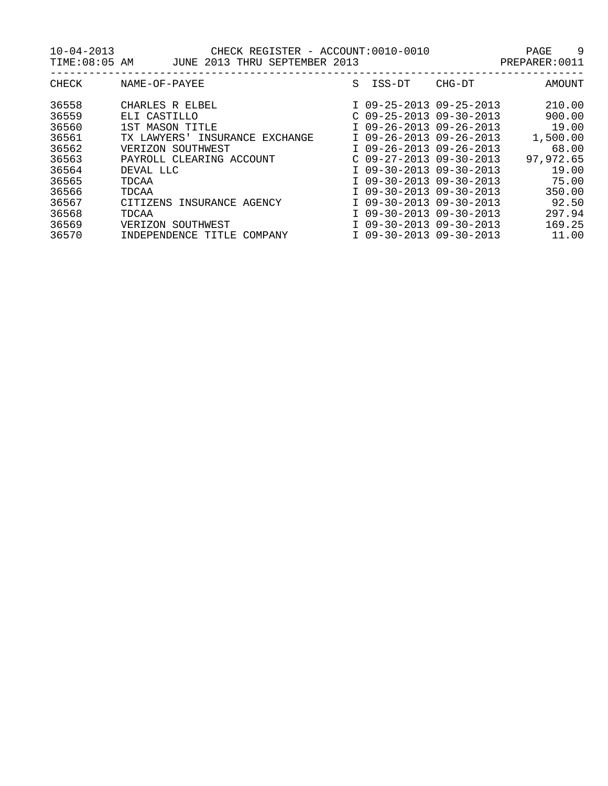| <b>CHECK</b> | NAME-OF-PAYEE                        | S | ISS-DT                    | CHG-DT | AMOUNT    |
|--------------|--------------------------------------|---|---------------------------|--------|-----------|
| 36558        | CHARLES R ELBEL                      |   | I 09-25-2013 09-25-2013   |        | 210.00    |
| 36559        | ELI CASTILLO                         |   | $C$ 09-25-2013 09-30-2013 |        | 900.00    |
| 36560        | 1ST MASON TITLE                      |   | I 09-26-2013 09-26-2013   |        | 19.00     |
| 36561        | TX LAWYERS'<br>INSURANCE<br>EXCHANGE |   | I 09-26-2013 09-26-2013   |        | 1,500.00  |
| 36562        | VERIZON SOUTHWEST                    |   | I 09-26-2013 09-26-2013   |        | 68.00     |
| 36563        | PAYROLL CLEARING ACCOUNT             |   | $C$ 09-27-2013 09-30-2013 |        | 97,972.65 |
| 36564        | DEVAL LLC                            |   | I 09-30-2013 09-30-2013   |        | 19.00     |
| 36565        | TDCAA                                |   | I 09-30-2013 09-30-2013   |        | 75.00     |
| 36566        | TDCAA                                |   | I 09-30-2013 09-30-2013   |        | 350.00    |
| 36567        | CITIZENS<br>INSURANCE AGENCY         |   | I 09-30-2013 09-30-2013   |        | 92.50     |
| 36568        | TDCAA                                |   | I 09-30-2013 09-30-2013   |        | 297.94    |
| 36569        | SOUTHWEST<br>VERIZON                 |   | I 09-30-2013 09-30-2013   |        | 169.25    |
| 36570        | INDEPENDENCE<br>TITLE<br>COMPANY     |   | I 09-30-2013 09-30-2013   |        | 11.00     |
|              |                                      |   |                           |        |           |